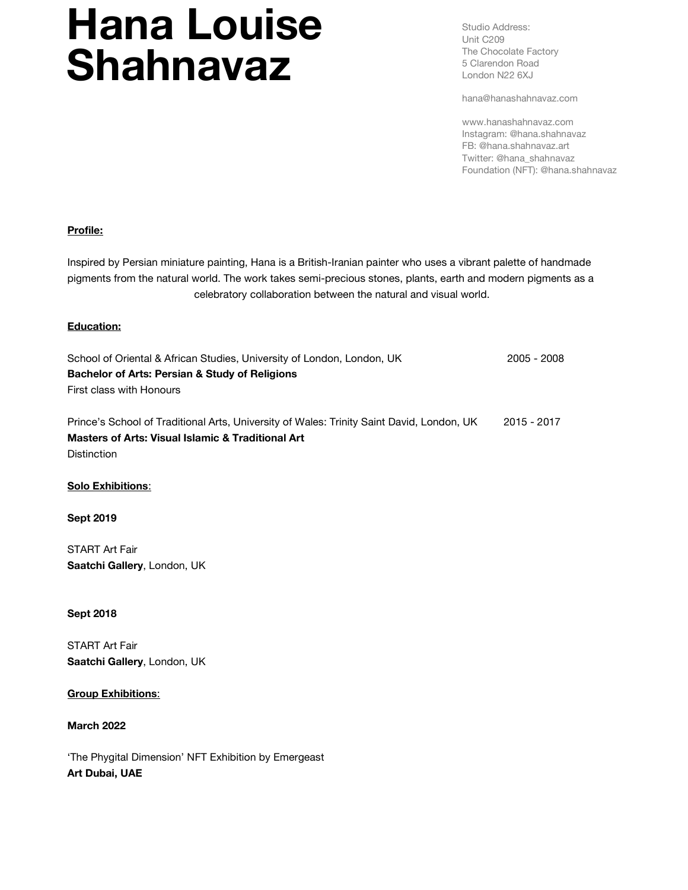# Hana Louise Shahnavaz

Studio Address: Unit C209 The Chocolate Factory 5 Clarendon Road London N22 6XJ

hana@hanashahnavaz.com

www.hanashahnavaz.com Instagram: @hana.shahnavaz FB: @hana.shahnavaz.art Twitter: @hana\_shahnavaz Foundation (NFT): @hana.shahnavaz

## Profile:

Inspired by Persian miniature painting, Hana is a British-Iranian painter who uses a vibrant palette of handmade pigments from the natural world. The work takes semi-precious stones, plants, earth and modern pigments as a celebratory collaboration between the natural and visual world.

#### Education:

| School of Oriental & African Studies, University of London, London, UK                    | 2005 - 2008 |
|-------------------------------------------------------------------------------------------|-------------|
| <b>Bachelor of Arts: Persian &amp; Study of Religions</b>                                 |             |
| First class with Honours                                                                  |             |
|                                                                                           |             |
| Prince's School of Traditional Arts, University of Wales: Trinity Saint David, London, UK | 2015 - 2017 |
| <b>Masters of Arts: Visual Islamic &amp; Traditional Art</b>                              |             |

**Distinction** 

#### Solo Exhibitions:

#### Sept 2019

START Art Fair Saatchi Gallery, London, UK

#### Sept 2018

START Art Fair Saatchi Gallery, London, UK

### Group Exhibitions:

#### March 2022

'The Phygital Dimension' NFT Exhibition by Emergeast Art Dubai, UAE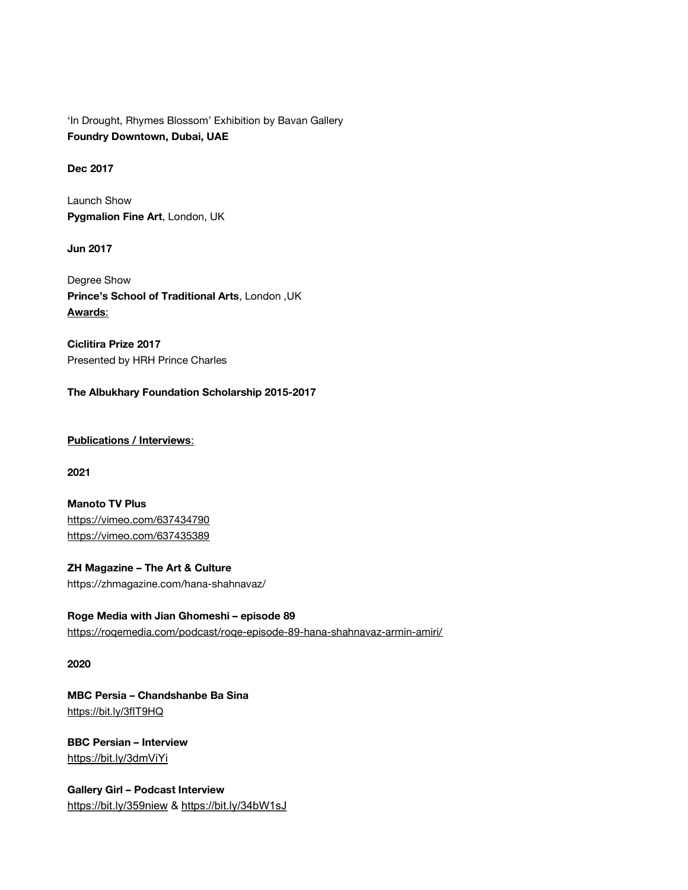'In Drought, Rhymes Blossom' Exhibition by Bavan Gallery Foundry Downtown, Dubai, UAE

Dec 2017

Launch Show Pygmalion Fine Art, London, UK

Jun 2017

Degree Show Prince's School of Traditional Arts, London ,UK Awards:

Ciclitira Prize 2017 Presented by HRH Prince Charles

The Albukhary Foundation Scholarship 2015-2017

Publications / Interviews:

2021

Manoto TV Plus https://vimeo.com/637434790 https://vimeo.com/637435389

ZH Magazine – The Art & Culture https://zhmagazine.com/hana-shahnavaz/

Roge Media with Jian Ghomeshi – episode 89 https://roqemedia.com/podcast/roqe-episode-89-hana-shahnavaz-armin-amiri/

2020

MBC Persia – Chandshanbe Ba Sina https://bit.ly/3fIT9HQ

BBC Persian – Interview https://bit.ly/3dmViYi

Gallery Girl – Podcast Interview https://bit.ly/359niew & https://bit.ly/34bW1sJ